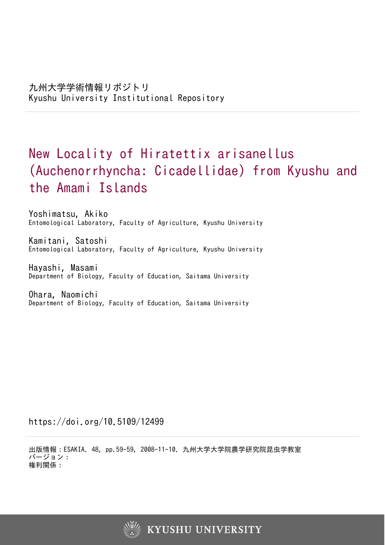# New Locality of Hiratettix arisanellus (Auchenorrhyncha: Cicadellidae) from Kyushu and the Amami Islands

Yoshimatsu, Akiko Entomological Laboratory, Faculty of Agriculture, Kyushu University

Kamitani, Satoshi Entomological Laboratory, Faculty of Agriculture, Kyushu University

Hayashi, Masami Department of Biology, Faculty of Education, Saitama University

Ohara, Naomichi Department of Biology, Faculty of Education, Saitama University

https://doi.org/10.5109/12499

出版情報:ESAKIA. 48, pp.59-59, 2008-11-10. 九州大学大学院農学研究院昆虫学教室 バージョン: 権利関係: